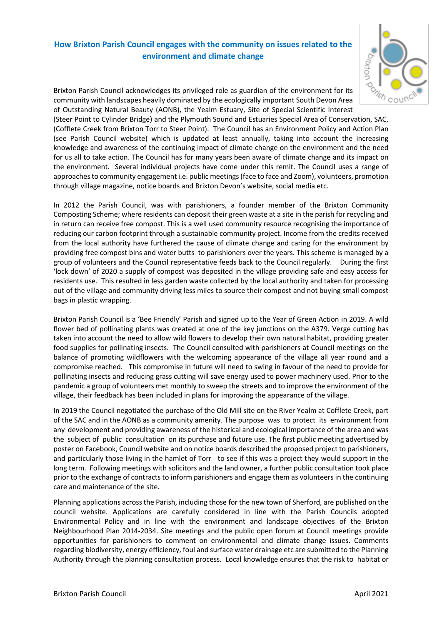## **How Brixton Parish Council engages with the community on issues related to the environment and climate change**



Brixton Parish Council acknowledges its privileged role as guardian of the environment for its community with landscapes heavily dominated by the ecologically important South Devon Area of Outstanding Natural Beauty (AONB), the Yealm Estuary, Site of Special Scientific Interest (Steer Point to Cylinder Bridge) and the Plymouth Sound and Estuaries Special Area of Conservation, SAC, (Cofflete Creek from Brixton Torr to Steer Point). The Council has an Environment Policy and Action Plan (see Parish Council website) which is updated at least annually, taking into account the increasing knowledge and awareness of the continuing impact of climate change on the environment and the need for us all to take action. The Council has for many years been aware of climate change and its impact on the environment. Several individual projects have come under this remit. The Council uses a range of approaches to community engagement i.e. public meetings(face to face and Zoom), volunteers, promotion through village magazine, notice boards and Brixton Devon's website, social media etc.

In 2012 the Parish Council, was with parishioners, a founder member of the Brixton Community Composting Scheme; where residents can deposit their green waste at a site in the parish for recycling and in return can receive free compost. This is a well used community resource recognising the importance of reducing our carbon footprint through a sustainable community project. Income from the credits received from the local authority have furthered the cause of climate change and caring for the environment by providing free compost bins and water butts to parishioners over the years. This scheme is managed by a group of volunteers and the Council representative feeds back to the Council regularly. During the first 'lock down' of 2020 a supply of compost was deposited in the village providing safe and easy access for residents use. This resulted in less garden waste collected by the local authority and taken for processing out of the village and community driving less miles to source their compost and not buying small compost bags in plastic wrapping.

Brixton Parish Council is a 'Bee Friendly' Parish and signed up to the Year of Green Action in 2019. A wild flower bed of pollinating plants was created at one of the key junctions on the A379. Verge cutting has taken into account the need to allow wild flowers to develop their own natural habitat, providing greater food supplies for pollinating insects. The Council consulted with parishioners at Council meetings on the balance of promoting wildflowers with the welcoming appearance of the village all year round and a compromise reached. This compromise in future will need to swing in favour of the need to provide for pollinating insects and reducing grass cutting will save energy used to power machinery used. Prior to the pandemic a group of volunteers met monthly to sweep the streets and to improve the environment of the village, their feedback has been included in plans for improving the appearance of the village.

In 2019 the Council negotiated the purchase of the Old Mill site on the River Yealm at Cofflete Creek, part of the SAC and in the AONB as a community amenity. The purpose was to protect its environment from any development and providing awareness of the historical and ecological importance of the area and was the subject of public consultation on its purchase and future use. The first public meeting advertised by poster on Facebook, Council website and on notice boards described the proposed project to parishioners, and particularly those living in the hamlet of Torr to see if this was a project they would support in the long term. Following meetings with solicitors and the land owner, a further public consultation took place prior to the exchange of contracts to inform parishioners and engage them as volunteers in the continuing care and maintenance of the site.

Planning applications across the Parish, including those for the new town of Sherford, are published on the council website. Applications are carefully considered in line with the Parish Councils adopted Environmental Policy and in line with the environment and landscape objectives of the Brixton Neighbourhood Plan 2014-2034. Site meetings and the public open forum at Council meetings provide opportunities for parishioners to comment on environmental and climate change issues. Comments regarding biodiversity, energy efficiency, foul and surface water drainage etc are submitted to the Planning Authority through the planning consultation process. Local knowledge ensures that the risk to habitat or